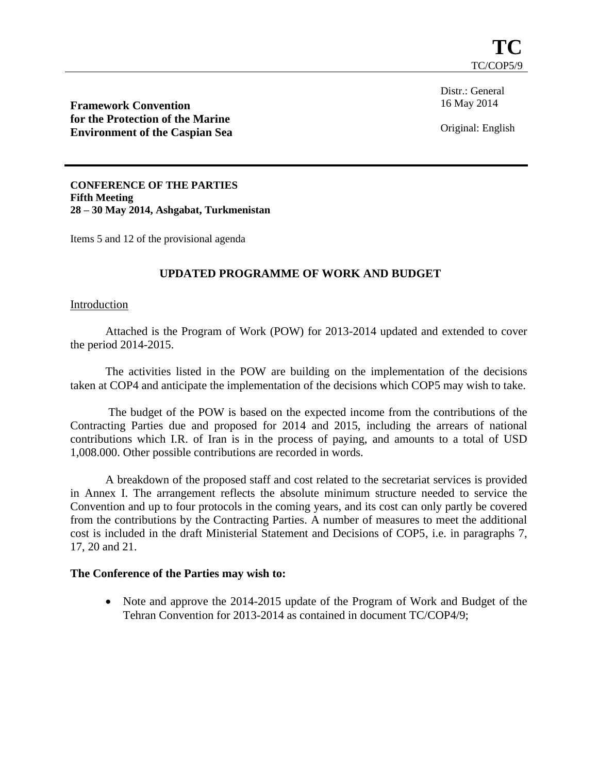Distr.: General 16 May 2014

**Framework Convention for the Protection of the Marine Environment of the Caspian Sea**

Original: English

**CONFERENCE OF THE PARTIES Fifth Meeting 28 – 30 May 2014, Ashgabat, Turkmenistan**

Items 5 and 12 of the provisional agenda

## **UPDATED PROGRAMME OF WORK AND BUDGET**

## Introduction

Attached is the Program of Work (POW) for 2013-2014 updated and extended to cover the period 2014-2015.

The activities listed in the POW are building on the implementation of the decisions taken at COP4 and anticipate the implementation of the decisions which COP5 may wish to take.

The budget of the POW is based on the expected income from the contributions of the Contracting Parties due and proposed for 2014 and 2015, including the arrears of national contributions which I.R. of Iran is in the process of paying, and amounts to a total of USD 1,008.000. Other possible contributions are recorded in words.

A breakdown of the proposed staff and cost related to the secretariat services is provided in Annex I. The arrangement reflects the absolute minimum structure needed to service the Convention and up to four protocols in the coming years, and its cost can only partly be covered from the contributions by the Contracting Parties. A number of measures to meet the additional cost is included in the draft Ministerial Statement and Decisions of COP5, i.e. in paragraphs 7, 17, 20 and 21.

## **The Conference of the Parties may wish to:**

• Note and approve the 2014-2015 update of the Program of Work and Budget of the Tehran Convention for 2013-2014 as contained in document TC/COP4/9;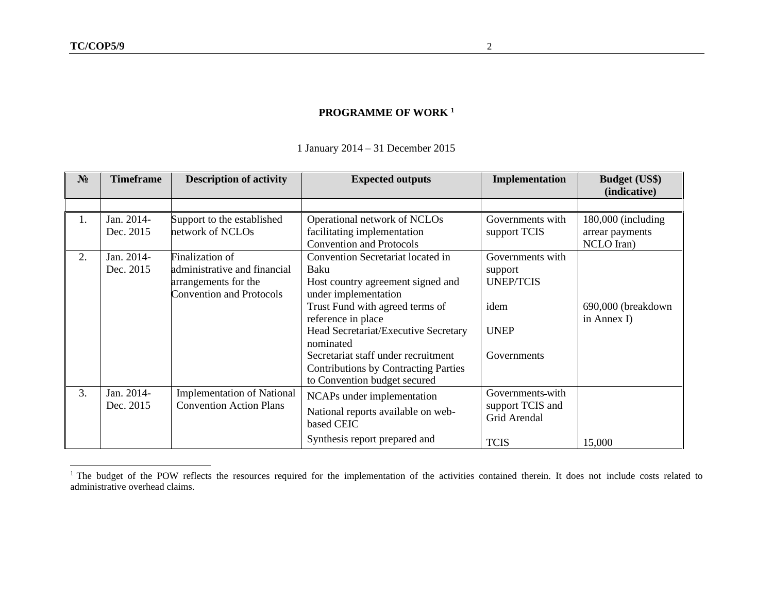1 January 2014 – 31 December 2015

| $N_2$ | <b>Timeframe</b>        | <b>Description of activity</b>                 | <b>Expected outputs</b>                                     | Implementation   | <b>Budget (US\$)</b><br>(indicative) |
|-------|-------------------------|------------------------------------------------|-------------------------------------------------------------|------------------|--------------------------------------|
|       |                         |                                                |                                                             |                  |                                      |
| 1.    | Jan. 2014-<br>Dec. 2015 | Support to the established<br>network of NCLOs | Operational network of NCLOs<br>facilitating implementation | Governments with | 180,000 (including                   |
|       |                         |                                                | <b>Convention and Protocols</b>                             | support TCIS     | arrear payments<br>NCLO Iran)        |
| 2.    | Jan. 2014-              | Finalization of                                | Convention Secretariat located in                           | Governments with |                                      |
|       | Dec. 2015               | administrative and financial                   | Baku                                                        | support          |                                      |
|       |                         | arrangements for the                           | Host country agreement signed and                           | <b>UNEP/TCIS</b> |                                      |
|       |                         | <b>Convention and Protocols</b>                | under implementation                                        |                  |                                      |
|       |                         |                                                | Trust Fund with agreed terms of                             | idem             | 690,000 (breakdown                   |
|       |                         |                                                | reference in place                                          |                  | in Annex I)                          |
|       |                         |                                                | Head Secretariat/Executive Secretary<br>nominated           | <b>UNEP</b>      |                                      |
|       |                         |                                                | Secretariat staff under recruitment                         | Governments      |                                      |
|       |                         |                                                | <b>Contributions by Contracting Parties</b>                 |                  |                                      |
|       |                         |                                                | to Convention budget secured                                |                  |                                      |
| 3.    | Jan. 2014-              | <b>Implementation of National</b>              | NCAPs under implementation                                  | Governments-with |                                      |
|       | Dec. 2015               | <b>Convention Action Plans</b>                 | National reports available on web-                          | support TCIS and |                                      |
|       |                         |                                                | based CEIC                                                  | Grid Arendal     |                                      |
|       |                         |                                                | Synthesis report prepared and                               | <b>TCIS</b>      | 15,000                               |

<sup>&</sup>lt;sup>1</sup> The budget of the POW reflects the resources required for the implementation of the activities contained therein. It does not include costs related to administrative overhead claims.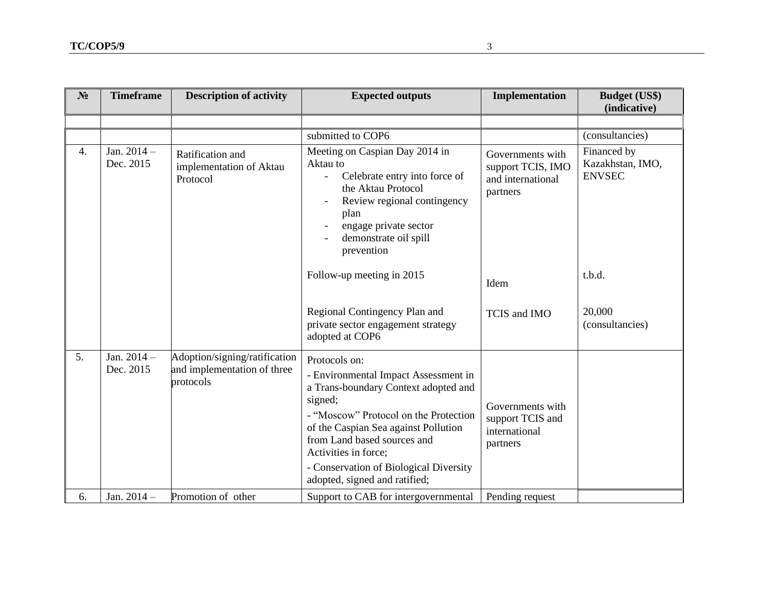| N <sub>2</sub>   | <b>Timeframe</b>           | <b>Description of activity</b>                                            | <b>Expected outputs</b>                                                                                                                                                                                                                                                                                                     | Implementation                                                         | <b>Budget (US\$)</b><br>(indicative)                                |
|------------------|----------------------------|---------------------------------------------------------------------------|-----------------------------------------------------------------------------------------------------------------------------------------------------------------------------------------------------------------------------------------------------------------------------------------------------------------------------|------------------------------------------------------------------------|---------------------------------------------------------------------|
| $\overline{4}$ . | Jan. $2014 -$<br>Dec. 2015 | Ratification and<br>implementation of Aktau<br>Protocol                   | submitted to COP6<br>Meeting on Caspian Day 2014 in<br>Aktau to<br>Celebrate entry into force of<br>the Aktau Protocol<br>Review regional contingency<br>plan<br>engage private sector<br>demonstrate oil spill<br>prevention                                                                                               | Governments with<br>support TCIS, IMO<br>and international<br>partners | (consultancies)<br>Financed by<br>Kazakhstan, IMO,<br><b>ENVSEC</b> |
|                  |                            |                                                                           | Follow-up meeting in 2015<br>Regional Contingency Plan and<br>private sector engagement strategy<br>adopted at COP6                                                                                                                                                                                                         | Idem<br>TCIS and IMO                                                   | t.b.d.<br>20,000<br>(consultancies)                                 |
| 5.               | Jan. $2014 -$<br>Dec. 2015 | Adoption/signing/ratification<br>and implementation of three<br>protocols | Protocols on:<br>- Environmental Impact Assessment in<br>a Trans-boundary Context adopted and<br>signed;<br>- "Moscow" Protocol on the Protection<br>of the Caspian Sea against Pollution<br>from Land based sources and<br>Activities in force;<br>- Conservation of Biological Diversity<br>adopted, signed and ratified; | Governments with<br>support TCIS and<br>international<br>partners      |                                                                     |
| 6.               | Jan. $2014 -$              | Promotion of other                                                        | Support to CAB for intergovernmental                                                                                                                                                                                                                                                                                        | Pending request                                                        |                                                                     |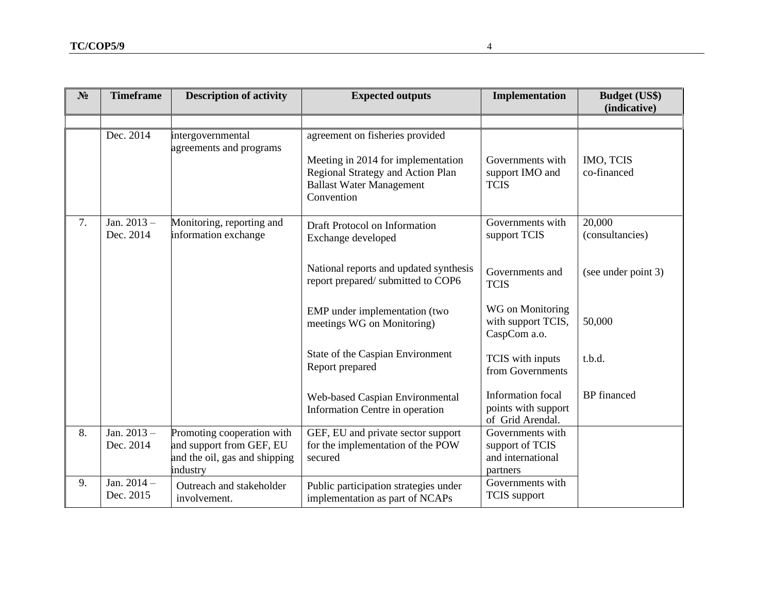| $N_2$ | <b>Timeframe</b>           | <b>Description of activity</b>                                                                      | <b>Expected outputs</b>                                                                                                                                     | Implementation                                                       | <b>Budget (US\$)</b><br>(indicative) |
|-------|----------------------------|-----------------------------------------------------------------------------------------------------|-------------------------------------------------------------------------------------------------------------------------------------------------------------|----------------------------------------------------------------------|--------------------------------------|
|       |                            |                                                                                                     |                                                                                                                                                             |                                                                      |                                      |
|       | Dec. 2014                  | intergovernmental<br>agreements and programs                                                        | agreement on fisheries provided<br>Meeting in 2014 for implementation<br>Regional Strategy and Action Plan<br><b>Ballast Water Management</b><br>Convention | Governments with<br>support IMO and<br><b>TCIS</b>                   | <b>IMO, TCIS</b><br>co-financed      |
| 7.    | Jan. $2013 -$<br>Dec. 2014 | Monitoring, reporting and<br>information exchange                                                   | Draft Protocol on Information<br>Exchange developed                                                                                                         | Governments with<br>support TCIS                                     | 20,000<br>(consultancies)            |
|       |                            |                                                                                                     | National reports and updated synthesis<br>report prepared/ submitted to COP6                                                                                | Governments and<br><b>TCIS</b>                                       | (see under point 3)                  |
|       |                            |                                                                                                     | EMP under implementation (two<br>meetings WG on Monitoring)                                                                                                 | WG on Monitoring<br>with support TCIS,<br>CaspCom a.o.               | 50,000                               |
|       |                            |                                                                                                     | State of the Caspian Environment<br>Report prepared                                                                                                         | TCIS with inputs<br>from Governments                                 | t.b.d.                               |
|       |                            |                                                                                                     | Web-based Caspian Environmental<br>Information Centre in operation                                                                                          | <b>Information</b> focal<br>points with support<br>of Grid Arendal.  | <b>BP</b> financed                   |
| 8.    | Jan. $2013 -$<br>Dec. 2014 | Promoting cooperation with<br>and support from GEF, EU<br>and the oil, gas and shipping<br>industry | GEF, EU and private sector support<br>for the implementation of the POW<br>secured                                                                          | Governments with<br>support of TCIS<br>and international<br>partners |                                      |
| 9.    | Jan. $2014 -$<br>Dec. 2015 | Outreach and stakeholder<br>involvement.                                                            | Public participation strategies under<br>implementation as part of NCAPs                                                                                    | Governments with<br>TCIS support                                     |                                      |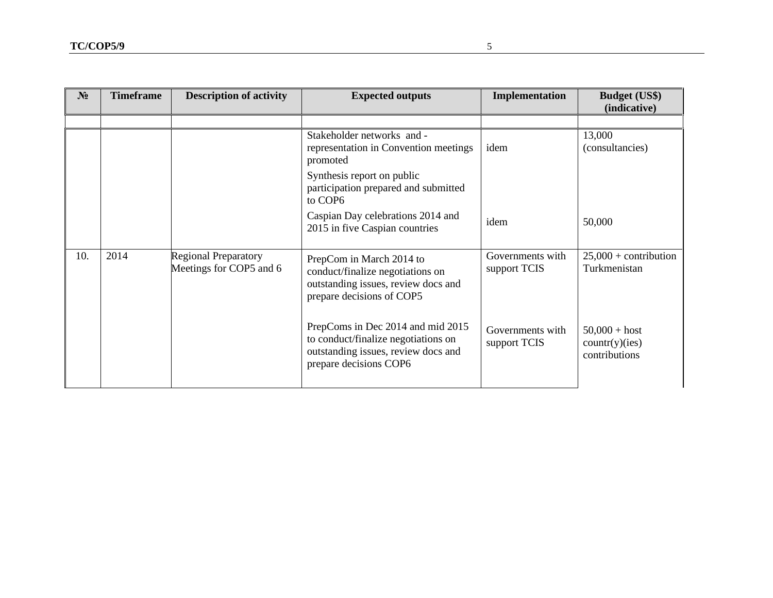| $N_2$ | <b>Timeframe</b> | <b>Description of activity</b>                         | <b>Expected outputs</b>                                                                                                                   | Implementation                   | <b>Budget (US\$)</b><br>(indicative)              |
|-------|------------------|--------------------------------------------------------|-------------------------------------------------------------------------------------------------------------------------------------------|----------------------------------|---------------------------------------------------|
|       |                  |                                                        |                                                                                                                                           |                                  |                                                   |
|       |                  |                                                        | Stakeholder networks and -<br>representation in Convention meetings<br>promoted                                                           | idem                             | 13,000<br>(consultancies)                         |
|       |                  |                                                        | Synthesis report on public<br>participation prepared and submitted<br>to COP6                                                             |                                  |                                                   |
|       |                  |                                                        | Caspian Day celebrations 2014 and<br>2015 in five Caspian countries                                                                       | idem                             | 50,000                                            |
| 10.   | 2014             | <b>Regional Preparatory</b><br>Meetings for COP5 and 6 | PrepCom in March 2014 to<br>conduct/finalize negotiations on<br>outstanding issues, review docs and<br>prepare decisions of COP5          | Governments with<br>support TCIS | $25,000 +$ contribution<br>Turkmenistan           |
|       |                  |                                                        | PrepComs in Dec 2014 and mid 2015<br>to conduct/finalize negotiations on<br>outstanding issues, review docs and<br>prepare decisions COP6 | Governments with<br>support TCIS | $50,000 + host$<br>count(y)(ies)<br>contributions |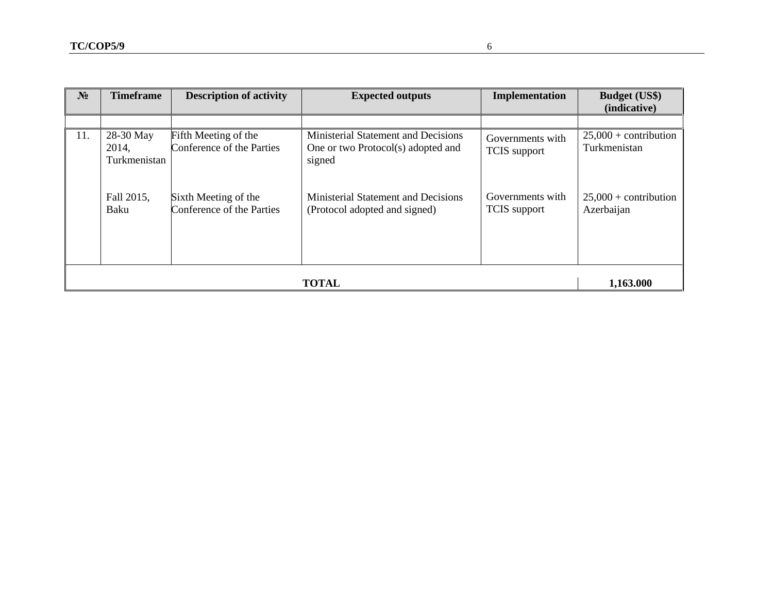| $N_2$        | <b>Timeframe</b>                   | <b>Description of activity</b>                    | <b>Expected outputs</b>                                                             | Implementation                          | <b>Budget (US\$)</b><br>(indicative)    |
|--------------|------------------------------------|---------------------------------------------------|-------------------------------------------------------------------------------------|-----------------------------------------|-----------------------------------------|
|              |                                    |                                                   |                                                                                     |                                         |                                         |
| 11.          | 28-30 May<br>2014,<br>Turkmenistan | Fifth Meeting of the<br>Conference of the Parties | Ministerial Statement and Decisions<br>One or two Protocol(s) adopted and<br>signed | Governments with<br><b>TCIS</b> support | $25,000 +$ contribution<br>Turkmenistan |
|              | Fall 2015,<br>Baku                 | Sixth Meeting of the<br>Conference of the Parties | <b>Ministerial Statement and Decisions</b><br>(Protocol adopted and signed)         | Governments with<br><b>TCIS</b> support | $25,000 +$ contribution<br>Azerbaijan   |
| <b>TOTAL</b> |                                    |                                                   |                                                                                     |                                         | 1,163.000                               |